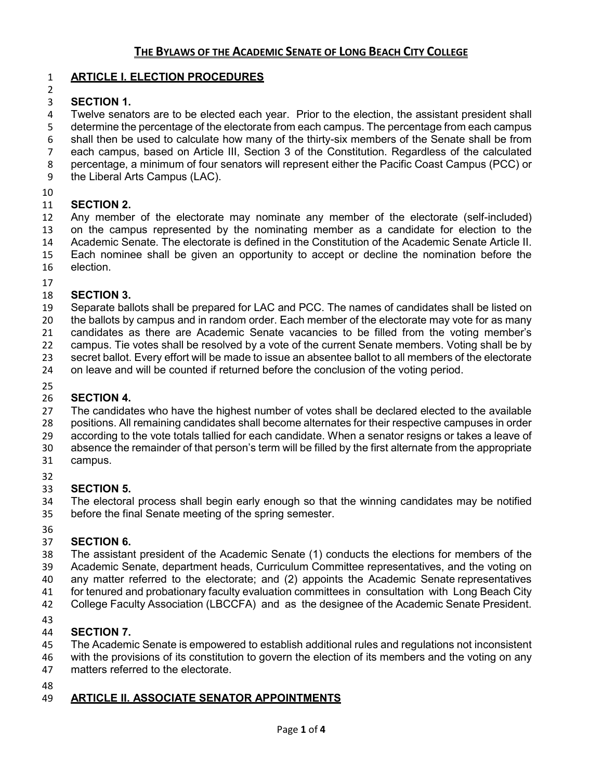#### **ARTICLE I. ELECTION PROCEDURES**

#### **SECTION 1.**

 Twelve senators are to be elected each year. Prior to the election, the assistant president shall 5 determine the percentage of the electorate from each campus. The percentage from each campus shall then be used to calculate how many of the thirty-six members of the Senate shall be from each campus, based on Article III, Section 3 of the Constitution. Regardless of the calculated percentage, a minimum of four senators will represent either the Pacific Coast Campus (PCC) or

- the Liberal Arts Campus (LAC).
- 

### **SECTION 2.**

 Any member of the electorate may nominate any member of the electorate (self-included) on the campus represented by the nominating member as a candidate for election to the Academic Senate. The electorate is defined in the Constitution of the Academic Senate Article II. Each nominee shall be given an opportunity to accept or decline the nomination before the election.

# **SECTION 3.**

Separate ballots shall be prepared for LAC and PCC. The names of candidates shall be listed on the ballots by campus and in random order. Each member of the electorate may vote for as many

candidates as there are Academic Senate vacancies to be filled from the voting member's

campus. Tie votes shall be resolved by a vote of the current Senate members. Voting shall be by

secret ballot. Every effort will be made to issue an absentee ballot to all members of the electorate

on leave and will be counted if returned before the conclusion of the voting period.

#### **SECTION 4.**

 The candidates who have the highest number of votes shall be declared elected to the available positions. All remaining candidates shall become alternates for their respective campuses in order according to the vote totals tallied for each candidate. When a senator resigns or takes a leave of absence the remainder of that person's term will be filled by the first alternate from the appropriate

- campus.
- 

#### **SECTION 5.**

 The electoral process shall begin early enough so that the winning candidates may be notified before the final Senate meeting of the spring semester.

36<br>37

# **SECTION 6.**

 The assistant president of the Academic Senate (1) conducts the elections for members of the Academic Senate, department heads, Curriculum Committee representatives, and the voting on

 any matter referred to the electorate; and (2) appoints the Academic Senate representatives for tenured and probationary faculty evaluation committees in consultation with Long Beach City

College Faculty Association (LBCCFA) and as the designee of the Academic Senate President.

#### **SECTION 7.**

The Academic Senate is empowered to establish additional rules and regulations not inconsistent

with the provisions of its constitution to govern the election of its members and the voting on any

- matters referred to the electorate.
- 

#### **ARTICLE II. ASSOCIATE SENATOR APPOINTMENTS**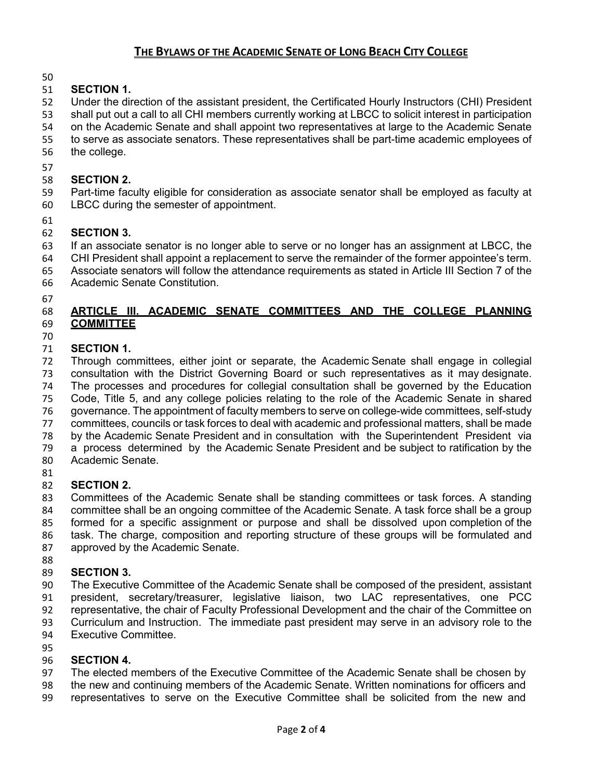#### **SECTION 1.**

 Under the direction of the assistant president, the Certificated Hourly Instructors (CHI) President shall put out a call to all CHI members currently working at LBCC to solicit interest in participation

on the Academic Senate and shall appoint two representatives at large to the Academic Senate

to serve as associate senators. These representatives shall be part-time academic employees of

- the college.
- 

### **SECTION 2.**

 Part-time faculty eligible for consideration as associate senator shall be employed as faculty at LBCC during the semester of appointment.

### **SECTION 3.**

If an associate senator is no longer able to serve or no longer has an assignment at LBCC, the

CHI President shall appoint a replacement to serve the remainder of the former appointee's term.

Associate senators will follow the attendance requirements as stated in Article III Section 7 of the

- Academic Senate Constitution.
- 

#### **ARTICLE III. ACADEMIC SENATE COMMITTEES AND THE COLLEGE PLANNING COMMITTEE**

### **SECTION 1.**

 Through committees, either joint or separate, the Academic Senate shall engage in collegial consultation with the District Governing Board or such representatives as it may designate. The processes and procedures for collegial consultation shall be governed by the Education Code, Title 5, and any college policies relating to the role of the Academic Senate in shared governance. The appointment of faculty members to serve on college-wide committees, self-study committees, councils or task forces to deal with academic and professional matters, shall be made by the Academic Senate President and in consultation with the Superintendent President via a process determined by the Academic Senate President and be subject to ratification by the Academic Senate. 

#### **SECTION 2.**

 Committees of the Academic Senate shall be standing committees or task forces. A standing committee shall be an ongoing committee of the Academic Senate. A task force shall be a group formed for a specific assignment or purpose and shall be dissolved upon completion of the task. The charge, composition and reporting structure of these groups will be formulated and approved by the Academic Senate.

# **SECTION 3.**

 The Executive Committee of the Academic Senate shall be composed of the president, assistant president, secretary/treasurer, legislative liaison, two LAC representatives, one PCC representative, the chair of Faculty Professional Development and the chair of the Committee on Curriculum and Instruction. The immediate past president may serve in an advisory role to the

Executive Committee.

#### **SECTION 4.**

The elected members of the Executive Committee of the Academic Senate shall be chosen by

- 98 the new and continuing members of the Academic Senate. Written nominations for officers and<br>99 representatives to serve on the Executive Committee shall be solicited from the new and
- representatives to serve on the Executive Committee shall be solicited from the new and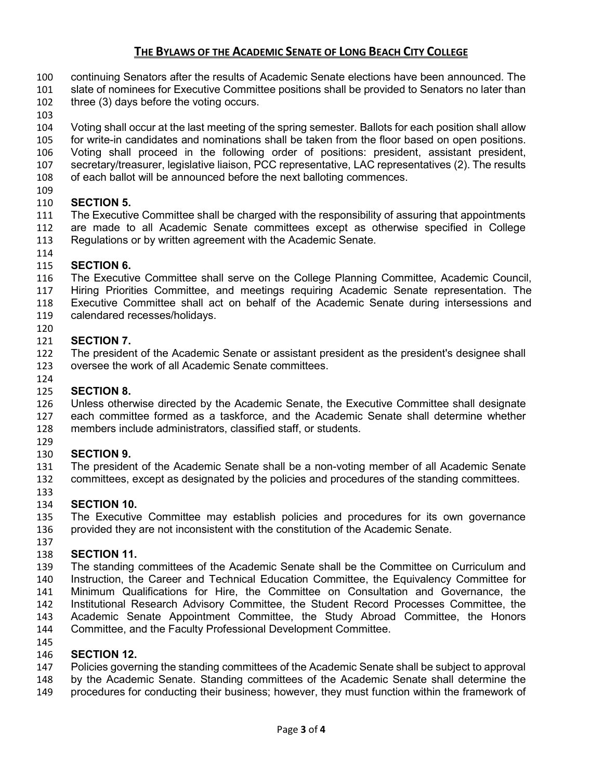- continuing Senators after the results of Academic Senate elections have been announced. The
- slate of nominees for Executive Committee positions shall be provided to Senators no later than
- three (3) days before the voting occurs.
- 

 Voting shall occur at the last meeting of the spring semester. Ballots for each position shall allow for write-in candidates and nominations shall be taken from the floor based on open positions. Voting shall proceed in the following order of positions: president, assistant president, secretary/treasurer, legislative liaison, PCC representative, LAC representatives (2). The results of each ballot will be announced before the next balloting commences.

# **SECTION 5.**

 The Executive Committee shall be charged with the responsibility of assuring that appointments are made to all Academic Senate committees except as otherwise specified in College Regulations or by written agreement with the Academic Senate.

# **SECTION 6.**

 The Executive Committee shall serve on the College Planning Committee, Academic Council, Hiring Priorities Committee, and meetings requiring Academic Senate representation. The Executive Committee shall act on behalf of the Academic Senate during intersessions and

- calendared recesses/holidays.
- 

# **SECTION 7.**

 The president of the Academic Senate or assistant president as the president's designee shall oversee the work of all Academic Senate committees.

# **SECTION 8.**

Unless otherwise directed by the Academic Senate, the Executive Committee shall designate

 each committee formed as a taskforce, and the Academic Senate shall determine whether members include administrators, classified staff, or students.

# **SECTION 9.**

The president of the Academic Senate shall be a non-voting member of all Academic Senate

- committees, except as designated by the policies and procedures of the standing committees.
- 

# **SECTION 10.**

 The Executive Committee may establish policies and procedures for its own governance provided they are not inconsistent with the constitution of the Academic Senate.

# **SECTION 11.**

 The standing committees of the Academic Senate shall be the Committee on Curriculum and Instruction, the Career and Technical Education Committee, the Equivalency Committee for Minimum Qualifications for Hire, the Committee on Consultation and Governance, the Institutional Research Advisory Committee, the Student Record Processes Committee, the Academic Senate Appointment Committee, the Study Abroad Committee, the Honors

- Committee, and the Faculty Professional Development Committee.
- 

# **SECTION 12.**

- Policies governing the standing committees of the Academic Senate shall be subject to approval
- by the Academic Senate. Standing committees of the Academic Senate shall determine the
- procedures for conducting their business; however, they must function within the framework of